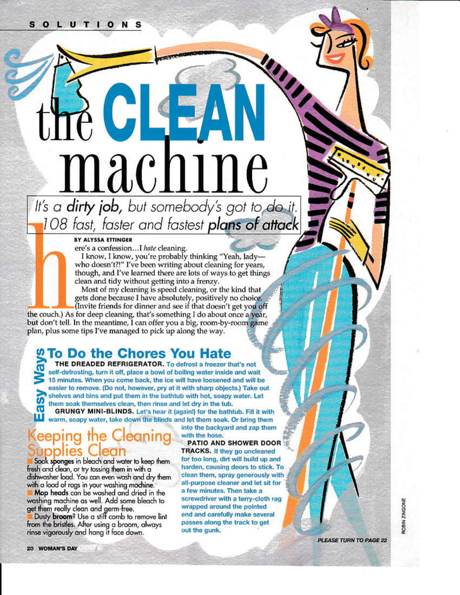# machine It's a **dirty job**, but somebody's got to do it.

JKE

108 fast, faster and fastest plans of attack

#### BY ALYSSA ETTINGER

ere's a confession...I hate cleaning. I know, I know, you're probably thinking "Yeah, ladywho doesn't?!" I've been writing about cleaning for years, though, and I've learned there are lots of ways to get things clean and tidy without getting into a frenzy. Most of my cleaning is speed cleaning, or the kind that

gets done because I have absolutely, positively no choice. (Invite friends for dinner and see if that doesn't get you off the couch.) As for deep cleaning, that's something I do about once a year,

but don't tell. In the meantime, I can offer you a big, room-by-room game plan, plus some tips I've managed to pick up along the way.

# **To Do the Chores You Hate**

THE DREADED REFRIGERATOR. To defrost a freezer that's not self-defrosting, turn it off, place a bowl of boiling water inside and wait 15 minutes. When you come back, the ice will have loosened and will be easier to remove. (Do not, however, pry at it with sharp objects.) Take out shelves and bins and put them in the bathtub with hot, soapy water. Let them soak themselves clean, then rinse and let dry in the tub. GRUNGY MINI-BLINDS. Let's hear it (again!) for the bathtub. Fill it with

warm, soapy water, take down the blinds and let them soak. Or bring them

#### eeping the Q eaning lear polles

Soak sponges in bleach and water to keep them fresh and clean, or try tossing them in with a dishwasher load. You can even wash and dry them with a load of rags in your washing machine.

Mop heads can be washed and dried in the washing machine as well. Add some bleach to get them really clean and germ-free.

Dusty broom? Use a stiff comb to remove lint from the bristles. After using a broom, always rinse vigorously and hang it face down.

into the backyard and zap them with the hose.

PATIO AND SHOWER DOOR **TRACKS.** If they go uncleaned for too long, dirt will build up and harden, causing doors to stick. To clean them, spray generously with all-purpose cleaner and let sit for a few minutes. Then take a screwdriver with a terry-cloth rag wrapped around the pointed end and carefully make several passes along the track to get out the gunk.

ROBIN ZINGONE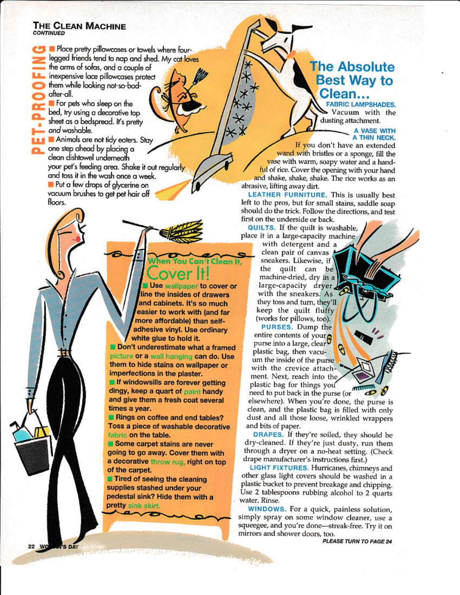#### **THE CLEAN MACHINE CONTINUED**

Place pretty pillowcases or towels where fourlegged friends tend to nap and shed. My cat loves the arms of sofas, and a couple of inexpensive lace pillowcases protect them while looking not-so-badafter-all. For pets who sleep on the

bed, try using a decorative top sheet as a bedspread. It's pretty and washable.

**Animals are not tidy eaters. Stay** one step ahead by placing a clean dishtowel underneath your pet's feeding area. Shake it out regularly and toss it in the wash once a week. Put a few drops of glycerine on vacuum brushes to get pet hair off floors.

> ou Can t Clean It, Use wallpaper to cover or

line the insides of drawers and cabinets. It's so much easier to work with (and far more affordable) than selfadhesive vinyl. Use ordinary white glue to hold it.

Don't underestimate what a framed picture or a wall hanging can do. Use them to hide stains on wallpaper or imperfections in the plaster.

If windowsills are forever getting dingy, keep a quart of paint handy and give them a fresh coat several times a year.

Rings on coffee and end tables? Toss a piece of washable decorative fabric on the table.

Some carpet stains are never going to go away. Cover them with a decorative throw rug, right on top of the carpet.

**■ Tired of seeing the cleaning** supplies stashed under your pedestal sink? Hide them with a pretty sink skirt

**NAME OF BUT** 

# **The Absolute Best Way to** Clean...

**FABRIC LAMPSHADES.** Vacuum with the dusting attachment.

A VASE WITH A THIN NECK.

If you don't have an extended wand with bristles or a sponge, fill the vase with warm, soapy water and a handful of rice. Cover the opening with your hand and shake, shake, shake. The rice works as an abrasive, lifting away dirt.

LEATHER FURNITURE. This is usually best left to the pros, but for small stains, saddle soap should do the trick. Follow the directions, and test first on the underside or back.

QUILTS. If the quilt is washable, place it in a large-capacity machine

with detergent and a clean pair of canvas sneakers. Likewise, if the quilt can be machine-dried, dry in a large-capacity dryer, with the sneakers. As they toss and turn, they'll keep the quilt fluffy (works for pillows, too).

PURSES. Dump the entire contents of your<sup>0</sup><br>purse into a large, clear plastic bag, then vacuum the inside of the purse with the crevice attachment. Next, reach into the plastic bag for things you need to put back in the purse (or m

elsewhere). When you're done, the purse is clean, and the plastic bag is filled with only dust and all those loose, wrinkled wrappers and bits of paper.

DRAPES. If they're soiled, they should be dry-cleaned. If they're just dusty, run them through a dryer on a no-heat setting. (Check drape manufacturer's instructions first.)

LIGHT FIXTURES. Hurricanes, chimneys and other glass light covers should be washed in a plastic bucket to prevent breakage and chipping. Use 2 tablespoons rubbing alcohol to 2 quarts water. Rinse.

WINDOWS. For a quick, painless solution, simply spray on some window cleaner, use a squeegee, and you're done-streak-free. Try it on mirrors and shower doors, too.

PLEASE TURN TO PAGE 24

22 WO